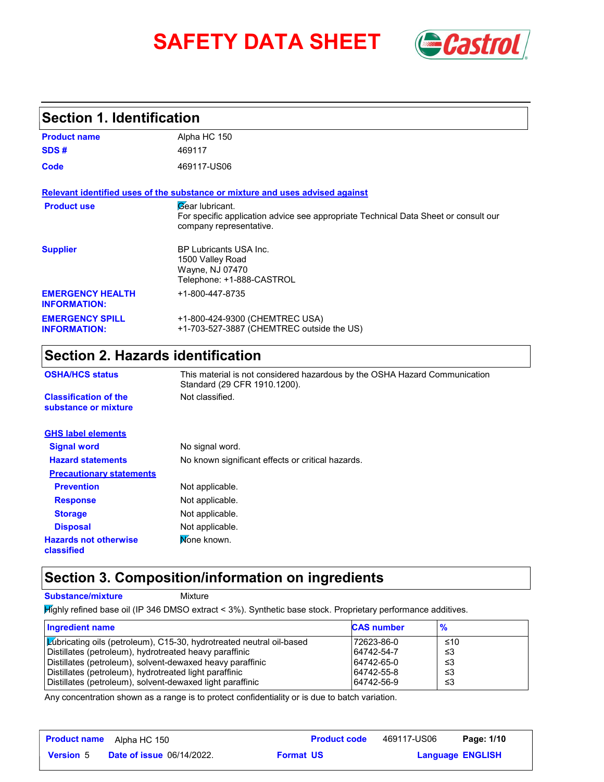# **SAFETY DATA SHEET** *Castrol*



#### **Section 1. Identification**

| <b>Product name</b>                            | Alpha HC 150                                                                                                                      |
|------------------------------------------------|-----------------------------------------------------------------------------------------------------------------------------------|
| SDS#                                           | 469117                                                                                                                            |
| Code                                           | 469117-US06                                                                                                                       |
|                                                | Relevant identified uses of the substance or mixture and uses advised against                                                     |
| <b>Product use</b>                             | Gear lubricant.<br>For specific application advice see appropriate Technical Data Sheet or consult our<br>company representative. |
| <b>Supplier</b>                                | <b>BP Lubricants USA Inc.</b><br>1500 Valley Road<br>Wayne, NJ 07470<br>Telephone: +1-888-CASTROL                                 |
| <b>EMERGENCY HEALTH</b><br><b>INFORMATION:</b> | +1-800-447-8735                                                                                                                   |
| <b>EMERGENCY SPILL</b><br><b>INFORMATION:</b>  | +1-800-424-9300 (CHEMTREC USA)<br>+1-703-527-3887 (CHEMTREC outside the US)                                                       |

## **Section 2. Hazards identification**

| <b>OSHA/HCS status</b>                               | This material is not considered hazardous by the OSHA Hazard Communication<br>Standard (29 CFR 1910.1200). |  |  |  |
|------------------------------------------------------|------------------------------------------------------------------------------------------------------------|--|--|--|
| <b>Classification of the</b><br>substance or mixture | Not classified.                                                                                            |  |  |  |
| <b>GHS label elements</b>                            |                                                                                                            |  |  |  |
| <b>Signal word</b>                                   | No signal word.                                                                                            |  |  |  |
| <b>Hazard statements</b>                             | No known significant effects or critical hazards.                                                          |  |  |  |
| <b>Precautionary statements</b>                      |                                                                                                            |  |  |  |
| <b>Prevention</b>                                    | Not applicable.                                                                                            |  |  |  |
| <b>Response</b>                                      | Not applicable.                                                                                            |  |  |  |
| <b>Storage</b>                                       | Not applicable.                                                                                            |  |  |  |
| <b>Disposal</b>                                      | Not applicable.                                                                                            |  |  |  |
| <b>Hazards not otherwise</b><br>classified           | Mone known.                                                                                                |  |  |  |

## **Section 3. Composition/information on ingredients**

**Substance/mixture Mixture** 

Highly refined base oil (IP 346 DMSO extract < 3%). Synthetic base stock. Proprietary performance additives.

| Ingredient name                                                             | <b>CAS number</b> | $\frac{9}{6}$ |
|-----------------------------------------------------------------------------|-------------------|---------------|
| <b>Zubricating oils (petroleum), C15-30, hydrotreated neutral oil-based</b> | 72623-86-0        | ≤10           |
| Distillates (petroleum), hydrotreated heavy paraffinic                      | 64742-54-7        | -≤3           |
| Distillates (petroleum), solvent-dewaxed heavy paraffinic                   | 64742-65-0        | -≤3           |
| Distillates (petroleum), hydrotreated light paraffinic                      | 64742-55-8        | -≤3           |
| Distillates (petroleum), solvent-dewaxed light paraffinic                   | 64742-56-9        | -≤3           |

Any concentration shown as a range is to protect confidentiality or is due to batch variation.

| <b>Product name</b> | Alpha HC 150                     |                  | <b>Product code</b> | 469117-US06             | Page: 1/10 |
|---------------------|----------------------------------|------------------|---------------------|-------------------------|------------|
| <b>Version 5</b>    | <b>Date of issue 06/14/2022.</b> | <b>Format US</b> |                     | <b>Language ENGLISH</b> |            |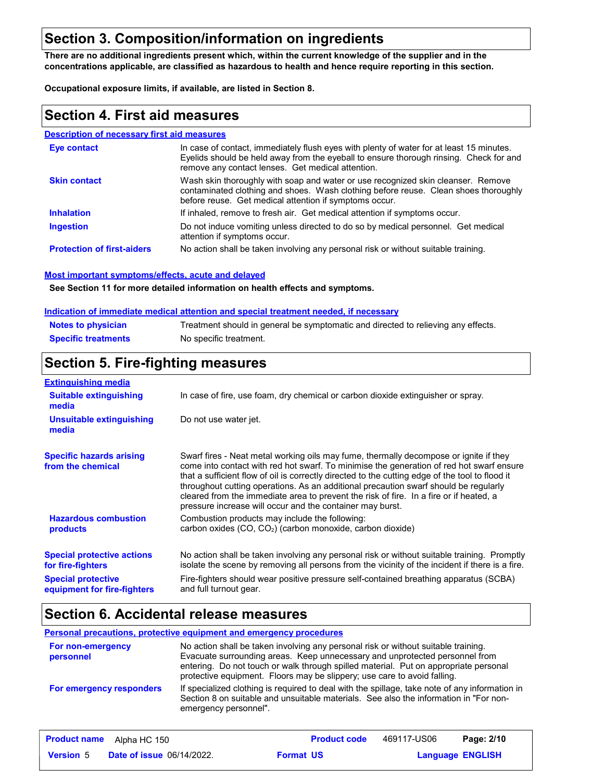### **Section 3. Composition/information on ingredients**

**There are no additional ingredients present which, within the current knowledge of the supplier and in the concentrations applicable, are classified as hazardous to health and hence require reporting in this section.**

**Occupational exposure limits, if available, are listed in Section 8.**

#### **Section 4. First aid measures**

#### **Description of necessary first aid measures**

| Eye contact                       | In case of contact, immediately flush eyes with plenty of water for at least 15 minutes.<br>Eyelids should be held away from the eyeball to ensure thorough rinsing. Check for and<br>remove any contact lenses. Get medical attention. |
|-----------------------------------|-----------------------------------------------------------------------------------------------------------------------------------------------------------------------------------------------------------------------------------------|
| <b>Skin contact</b>               | Wash skin thoroughly with soap and water or use recognized skin cleanser. Remove<br>contaminated clothing and shoes. Wash clothing before reuse. Clean shoes thoroughly<br>before reuse. Get medical attention if symptoms occur.       |
| <b>Inhalation</b>                 | If inhaled, remove to fresh air. Get medical attention if symptoms occur.                                                                                                                                                               |
| <b>Ingestion</b>                  | Do not induce vomiting unless directed to do so by medical personnel. Get medical<br>attention if symptoms occur.                                                                                                                       |
| <b>Protection of first-aiders</b> | No action shall be taken involving any personal risk or without suitable training.                                                                                                                                                      |

#### **Most important symptoms/effects, acute and delayed**

**See Section 11 for more detailed information on health effects and symptoms.**

#### **Indication of immediate medical attention and special treatment needed, if necessary**

| <b>Notes to physician</b>  | Treatment should in general be symptomatic and directed to relieving any effects. |
|----------------------------|-----------------------------------------------------------------------------------|
| <b>Specific treatments</b> | No specific treatment.                                                            |

## **Section 5. Fire-fighting measures**

| <b>Extinguishing media</b>                               |                                                                                                                                                                                                                                                                                                                                                                                                                                                                                                                                     |  |  |  |
|----------------------------------------------------------|-------------------------------------------------------------------------------------------------------------------------------------------------------------------------------------------------------------------------------------------------------------------------------------------------------------------------------------------------------------------------------------------------------------------------------------------------------------------------------------------------------------------------------------|--|--|--|
| <b>Suitable extinguishing</b><br>media                   | In case of fire, use foam, dry chemical or carbon dioxide extinguisher or spray.                                                                                                                                                                                                                                                                                                                                                                                                                                                    |  |  |  |
| <b>Unsuitable extinguishing</b><br>media                 | Do not use water jet.                                                                                                                                                                                                                                                                                                                                                                                                                                                                                                               |  |  |  |
| <b>Specific hazards arising</b><br>from the chemical     | Swarf fires - Neat metal working oils may fume, thermally decompose or ignite if they<br>come into contact with red hot swarf. To minimise the generation of red hot swarf ensure<br>that a sufficient flow of oil is correctly directed to the cutting edge of the tool to flood it<br>throughout cutting operations. As an additional precaution swarf should be regularly<br>cleared from the immediate area to prevent the risk of fire. In a fire or if heated, a<br>pressure increase will occur and the container may burst. |  |  |  |
| <b>Hazardous combustion</b><br>products                  | Combustion products may include the following:<br>carbon oxides (CO, CO <sub>2</sub> ) (carbon monoxide, carbon dioxide)                                                                                                                                                                                                                                                                                                                                                                                                            |  |  |  |
| <b>Special protective actions</b><br>for fire-fighters   | No action shall be taken involving any personal risk or without suitable training. Promptly<br>isolate the scene by removing all persons from the vicinity of the incident if there is a fire.                                                                                                                                                                                                                                                                                                                                      |  |  |  |
| <b>Special protective</b><br>equipment for fire-fighters | Fire-fighters should wear positive pressure self-contained breathing apparatus (SCBA)<br>and full turnout gear.                                                                                                                                                                                                                                                                                                                                                                                                                     |  |  |  |

#### **Section 6. Accidental release measures**

#### **Personal precautions, protective equipment and emergency procedures**

| For non-emergency<br>personnel  | No action shall be taken involving any personal risk or without suitable training.<br>Evacuate surrounding areas. Keep unnecessary and unprotected personnel from<br>entering. Do not touch or walk through spilled material. Put on appropriate personal<br>protective equipment. Floors may be slippery; use care to avoid falling. |
|---------------------------------|---------------------------------------------------------------------------------------------------------------------------------------------------------------------------------------------------------------------------------------------------------------------------------------------------------------------------------------|
| <b>For emergency responders</b> | If specialized clothing is required to deal with the spillage, take note of any information in<br>Section 8 on suitable and unsuitable materials. See also the information in "For non-<br>emergency personnel".                                                                                                                      |

|                  | <b>Product name</b> Alpha HC 150 |                  | <b>Product code</b> | 469117-US06             | Page: 2/10 |
|------------------|----------------------------------|------------------|---------------------|-------------------------|------------|
| <b>Version</b> 5 | <b>Date of issue 06/14/2022.</b> | <b>Format US</b> |                     | <b>Language ENGLISH</b> |            |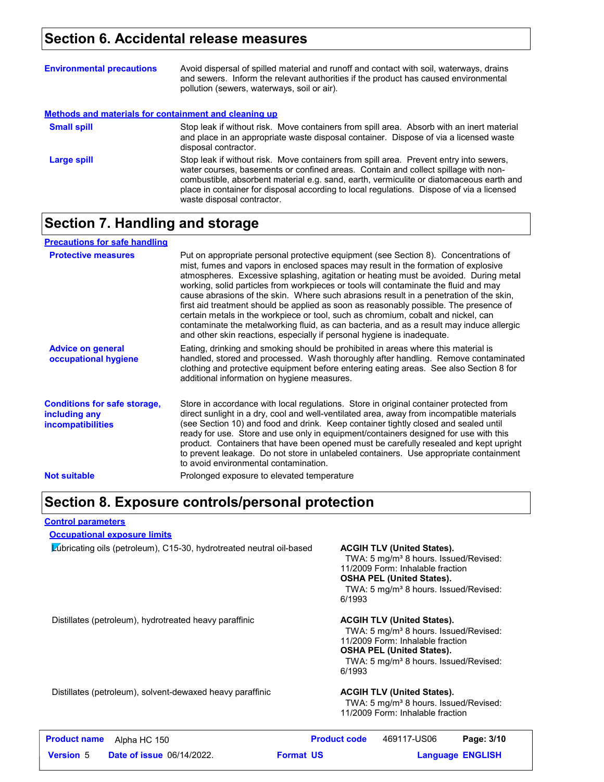### **Section 6. Accidental release measures**

| <b>Environmental precautions</b>                      | Avoid dispersal of spilled material and runoff and contact with soil, waterways, drains<br>and sewers. Inform the relevant authorities if the product has caused environmental<br>pollution (sewers, waterways, soil or air).                                                                                                                                                                      |
|-------------------------------------------------------|----------------------------------------------------------------------------------------------------------------------------------------------------------------------------------------------------------------------------------------------------------------------------------------------------------------------------------------------------------------------------------------------------|
| Methods and materials for containment and cleaning up |                                                                                                                                                                                                                                                                                                                                                                                                    |
| <b>Small spill</b>                                    | Stop leak if without risk. Move containers from spill area. Absorb with an inert material<br>and place in an appropriate waste disposal container. Dispose of via a licensed waste<br>disposal contractor.                                                                                                                                                                                         |
| Large spill                                           | Stop leak if without risk. Move containers from spill area. Prevent entry into sewers,<br>water courses, basements or confined areas. Contain and collect spillage with non-<br>combustible, absorbent material e.g. sand, earth, vermiculite or diatomaceous earth and<br>place in container for disposal according to local regulations. Dispose of via a licensed<br>waste disposal contractor. |

#### **Section 7. Handling and storage**

| <b>Precautions for safe handling</b>                                             |                                                                                                                                                                                                                                                                                                                                                                                                                                                                                                                                                                                                                                                                                                                                                                                                          |
|----------------------------------------------------------------------------------|----------------------------------------------------------------------------------------------------------------------------------------------------------------------------------------------------------------------------------------------------------------------------------------------------------------------------------------------------------------------------------------------------------------------------------------------------------------------------------------------------------------------------------------------------------------------------------------------------------------------------------------------------------------------------------------------------------------------------------------------------------------------------------------------------------|
| <b>Protective measures</b>                                                       | Put on appropriate personal protective equipment (see Section 8). Concentrations of<br>mist, fumes and vapors in enclosed spaces may result in the formation of explosive<br>atmospheres. Excessive splashing, agitation or heating must be avoided. During metal<br>working, solid particles from workpieces or tools will contaminate the fluid and may<br>cause abrasions of the skin. Where such abrasions result in a penetration of the skin,<br>first aid treatment should be applied as soon as reasonably possible. The presence of<br>certain metals in the workpiece or tool, such as chromium, cobalt and nickel, can<br>contaminate the metalworking fluid, as can bacteria, and as a result may induce allergic<br>and other skin reactions, especially if personal hygiene is inadequate. |
| <b>Advice on general</b><br>occupational hygiene                                 | Eating, drinking and smoking should be prohibited in areas where this material is<br>handled, stored and processed. Wash thoroughly after handling. Remove contaminated<br>clothing and protective equipment before entering eating areas. See also Section 8 for<br>additional information on hygiene measures.                                                                                                                                                                                                                                                                                                                                                                                                                                                                                         |
| <b>Conditions for safe storage.</b><br>including any<br><i>incompatibilities</i> | Store in accordance with local regulations. Store in original container protected from<br>direct sunlight in a dry, cool and well-ventilated area, away from incompatible materials<br>(see Section 10) and food and drink. Keep container tightly closed and sealed until<br>ready for use. Store and use only in equipment/containers designed for use with this<br>product. Containers that have been opened must be carefully resealed and kept upright<br>to prevent leakage. Do not store in unlabeled containers. Use appropriate containment<br>to avoid environmental contamination.                                                                                                                                                                                                            |
| <b>Not suitable</b>                                                              | Prolonged exposure to elevated temperature                                                                                                                                                                                                                                                                                                                                                                                                                                                                                                                                                                                                                                                                                                                                                               |

#### **Section 8. Exposure controls/personal protection**

**Control parameters**

#### **Occupational exposure limits**

Lubricating oils (petroleum), C15-30, hydrotreated neutral oil-based **ACGIH TLV (United States).**

TWA: 5 mg/m<sup>3</sup> 8 hours. Issued/Revised: 11/2009 Form: Inhalable fraction **OSHA PEL (United States).** TWA: 5 mg/m<sup>3</sup> 8 hours. Issued/Revised: 6/1993

Distillates (petroleum), hydrotreated heavy paraffinic **ACGIH TLV (United States).**

TWA: 5 mg/m<sup>3</sup> 8 hours. Issued/Revised: 11/2009 Form: Inhalable fraction **OSHA PEL (United States).** TWA: 5 mg/m<sup>3</sup> 8 hours. Issued/Revised: 6/1993

Distillates (petroleum), solvent-dewaxed heavy paraffinic **ACGIH TLV (United States).**

TWA: 5 mg/m<sup>3</sup> 8 hours. Issued/Revised: 11/2009 Form: Inhalable fraction

| <b>Product name</b> | Alpha HC 150                     |                  | <b>Product code</b> | 469117-US06             | Page: 3/10 |  |
|---------------------|----------------------------------|------------------|---------------------|-------------------------|------------|--|
| <b>Version 5</b>    | <b>Date of issue 06/14/2022.</b> | <b>Format US</b> |                     | <b>Language ENGLISH</b> |            |  |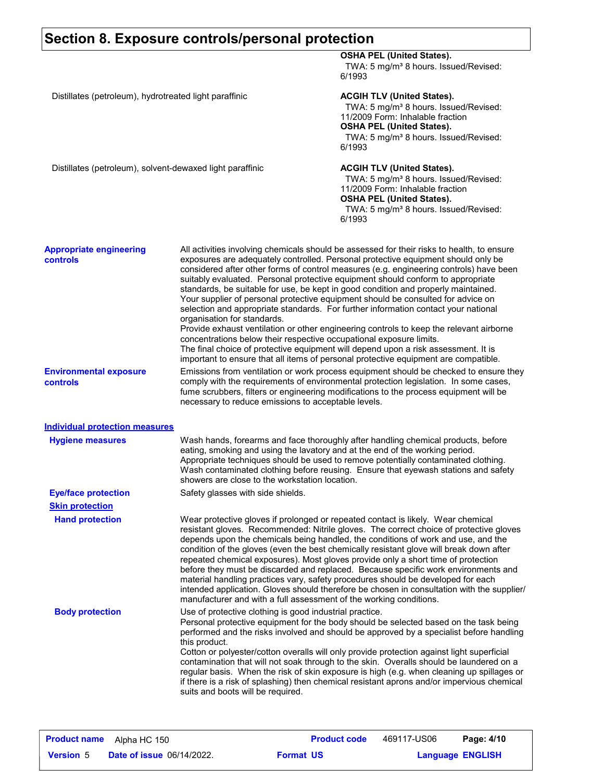|                                                           | Section 8. Exposure controls/personal protection                                                                                                                                                                                                                                                                              |                                                                                                                                                                                                                                                                                                                                                                                                                                                                                                                                                                                                                                                                                                                                                                                                                                                                                                      |
|-----------------------------------------------------------|-------------------------------------------------------------------------------------------------------------------------------------------------------------------------------------------------------------------------------------------------------------------------------------------------------------------------------|------------------------------------------------------------------------------------------------------------------------------------------------------------------------------------------------------------------------------------------------------------------------------------------------------------------------------------------------------------------------------------------------------------------------------------------------------------------------------------------------------------------------------------------------------------------------------------------------------------------------------------------------------------------------------------------------------------------------------------------------------------------------------------------------------------------------------------------------------------------------------------------------------|
|                                                           |                                                                                                                                                                                                                                                                                                                               | <b>OSHA PEL (United States).</b><br>TWA: 5 mg/m <sup>3</sup> 8 hours. Issued/Revised:<br>6/1993                                                                                                                                                                                                                                                                                                                                                                                                                                                                                                                                                                                                                                                                                                                                                                                                      |
| Distillates (petroleum), hydrotreated light paraffinic    |                                                                                                                                                                                                                                                                                                                               | <b>ACGIH TLV (United States).</b><br>TWA: 5 mg/m <sup>3</sup> 8 hours. Issued/Revised:<br>11/2009 Form: Inhalable fraction<br><b>OSHA PEL (United States).</b><br>TWA: 5 mg/m <sup>3</sup> 8 hours. Issued/Revised:<br>6/1993                                                                                                                                                                                                                                                                                                                                                                                                                                                                                                                                                                                                                                                                        |
| Distillates (petroleum), solvent-dewaxed light paraffinic |                                                                                                                                                                                                                                                                                                                               | <b>ACGIH TLV (United States).</b><br>TWA: 5 mg/m <sup>3</sup> 8 hours. Issued/Revised:<br>11/2009 Form: Inhalable fraction<br><b>OSHA PEL (United States).</b><br>TWA: 5 mg/m <sup>3</sup> 8 hours. Issued/Revised:<br>6/1993                                                                                                                                                                                                                                                                                                                                                                                                                                                                                                                                                                                                                                                                        |
| <b>Appropriate engineering</b><br><b>controls</b>         | organisation for standards.<br>concentrations below their respective occupational exposure limits.                                                                                                                                                                                                                            | All activities involving chemicals should be assessed for their risks to health, to ensure<br>exposures are adequately controlled. Personal protective equipment should only be<br>considered after other forms of control measures (e.g. engineering controls) have been<br>suitably evaluated. Personal protective equipment should conform to appropriate<br>standards, be suitable for use, be kept in good condition and properly maintained.<br>Your supplier of personal protective equipment should be consulted for advice on<br>selection and appropriate standards. For further information contact your national<br>Provide exhaust ventilation or other engineering controls to keep the relevant airborne<br>The final choice of protective equipment will depend upon a risk assessment. It is<br>important to ensure that all items of personal protective equipment are compatible. |
| <b>Environmental exposure</b><br>controls                 | Emissions from ventilation or work process equipment should be checked to ensure they<br>comply with the requirements of environmental protection legislation. In some cases,<br>fume scrubbers, filters or engineering modifications to the process equipment will be<br>necessary to reduce emissions to acceptable levels. |                                                                                                                                                                                                                                                                                                                                                                                                                                                                                                                                                                                                                                                                                                                                                                                                                                                                                                      |
| <b>Individual protection measures</b>                     |                                                                                                                                                                                                                                                                                                                               |                                                                                                                                                                                                                                                                                                                                                                                                                                                                                                                                                                                                                                                                                                                                                                                                                                                                                                      |
| <b>Hygiene measures</b>                                   | showers are close to the workstation location.                                                                                                                                                                                                                                                                                | Wash hands, forearms and face thoroughly after handling chemical products, before<br>eating, smoking and using the lavatory and at the end of the working period.<br>Appropriate techniques should be used to remove potentially contaminated clothing.<br>Wash contaminated clothing before reusing.  Ensure that eyewash stations and safety                                                                                                                                                                                                                                                                                                                                                                                                                                                                                                                                                       |
| <b>Eye/face protection</b>                                | Safety glasses with side shields.                                                                                                                                                                                                                                                                                             |                                                                                                                                                                                                                                                                                                                                                                                                                                                                                                                                                                                                                                                                                                                                                                                                                                                                                                      |
| <b>Skin protection</b><br><b>Hand protection</b>          | manufacturer and with a full assessment of the working conditions.                                                                                                                                                                                                                                                            | Wear protective gloves if prolonged or repeated contact is likely. Wear chemical<br>resistant gloves. Recommended: Nitrile gloves. The correct choice of protective gloves<br>depends upon the chemicals being handled, the conditions of work and use, and the<br>condition of the gloves (even the best chemically resistant glove will break down after<br>repeated chemical exposures). Most gloves provide only a short time of protection<br>before they must be discarded and replaced. Because specific work environments and<br>material handling practices vary, safety procedures should be developed for each<br>intended application. Gloves should therefore be chosen in consultation with the supplier/                                                                                                                                                                              |
| <b>Body protection</b>                                    | Use of protective clothing is good industrial practice.<br>this product.<br>suits and boots will be required.                                                                                                                                                                                                                 | Personal protective equipment for the body should be selected based on the task being<br>performed and the risks involved and should be approved by a specialist before handling<br>Cotton or polyester/cotton overalls will only provide protection against light superficial<br>contamination that will not soak through to the skin. Overalls should be laundered on a<br>regular basis. When the risk of skin exposure is high (e.g. when cleaning up spillages or<br>if there is a risk of splashing) then chemical resistant aprons and/or impervious chemical                                                                                                                                                                                                                                                                                                                                 |

|                  | <b>Product name</b> Alpha HC 150 |                  | <b>Product code</b> | 469117-US06             | Page: 4/10 |  |
|------------------|----------------------------------|------------------|---------------------|-------------------------|------------|--|
| <b>Version 5</b> | <b>Date of issue 06/14/2022.</b> | <b>Format US</b> |                     | <b>Language ENGLISH</b> |            |  |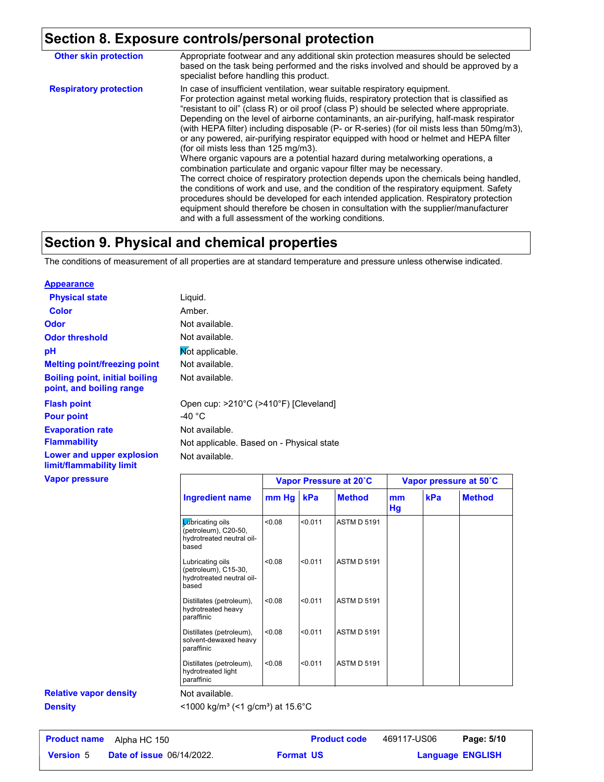## **Section 8. Exposure controls/personal protection**

| <b>Other skin protection</b>  | Appropriate footwear and any additional skin protection measures should be selected<br>based on the task being performed and the risks involved and should be approved by a<br>specialist before handling this product.                                                                                                                                                                                                                                                                                                                                                                                                                                                                                                                                                                                                                                                                                                                                                                                                                                                                                                                                                             |
|-------------------------------|-------------------------------------------------------------------------------------------------------------------------------------------------------------------------------------------------------------------------------------------------------------------------------------------------------------------------------------------------------------------------------------------------------------------------------------------------------------------------------------------------------------------------------------------------------------------------------------------------------------------------------------------------------------------------------------------------------------------------------------------------------------------------------------------------------------------------------------------------------------------------------------------------------------------------------------------------------------------------------------------------------------------------------------------------------------------------------------------------------------------------------------------------------------------------------------|
| <b>Respiratory protection</b> | In case of insufficient ventilation, wear suitable respiratory equipment.<br>For protection against metal working fluids, respiratory protection that is classified as<br>"resistant to oil" (class R) or oil proof (class P) should be selected where appropriate.<br>Depending on the level of airborne contaminants, an air-purifying, half-mask respirator<br>(with HEPA filter) including disposable (P- or R-series) (for oil mists less than 50mg/m3),<br>or any powered, air-purifying respirator equipped with hood or helmet and HEPA filter<br>(for oil mists less than 125 mg/m3).<br>Where organic vapours are a potential hazard during metalworking operations, a<br>combination particulate and organic vapour filter may be necessary.<br>The correct choice of respiratory protection depends upon the chemicals being handled.<br>the conditions of work and use, and the condition of the respiratory equipment. Safety<br>procedures should be developed for each intended application. Respiratory protection<br>equipment should therefore be chosen in consultation with the supplier/manufacturer<br>and with a full assessment of the working conditions. |

## **Section 9. Physical and chemical properties**

The conditions of measurement of all properties are at standard temperature and pressure unless otherwise indicated.

| <b>Appearance</b>                                                 |                                                           |                        |
|-------------------------------------------------------------------|-----------------------------------------------------------|------------------------|
| <b>Physical state</b>                                             | Liquid.                                                   |                        |
| Color                                                             | Amber.                                                    |                        |
| Odor                                                              | Not available.                                            |                        |
| <b>Odor threshold</b>                                             | Not available.                                            |                        |
| рH                                                                | Mot applicable.                                           |                        |
| <b>Melting point/freezing point</b>                               | Not available.                                            |                        |
| <b>Boiling point, initial boiling</b><br>point, and boiling range | Not available.                                            |                        |
| <b>Flash point</b><br><b>Pour point</b>                           | Open cup: >210°C (>410°F) [Cleveland]<br>-40 $^{\circ}$ C |                        |
| <b>Evaporation rate</b>                                           | Not available.                                            |                        |
| <b>Flammability</b>                                               | Not applicable. Based on - Physical state                 |                        |
| Lower and upper explosion<br>limit/flammability limit             | Not available.                                            |                        |
| <b>Vapor pressure</b>                                             |                                                           | Vapor Pressure at 20°C |

|                                                                                        | Vapor Pressure at 20°C |         | Vapor pressure at 50°C |          |     |               |
|----------------------------------------------------------------------------------------|------------------------|---------|------------------------|----------|-----|---------------|
| <b>Ingredient name</b>                                                                 | mm Hg                  | kPa     | <b>Method</b>          | mm<br>Hg | kPa | <b>Method</b> |
| <b>Z</b> ibricating oils<br>(petroleum), C20-50,<br>hydrotreated neutral oil-<br>based | 0.08                   | < 0.011 | <b>ASTM D 5191</b>     |          |     |               |
| Lubricating oils<br>(petroleum), C15-30,<br>hydrotreated neutral oil-<br>based         | < 0.08                 | < 0.011 | <b>ASTM D 5191</b>     |          |     |               |
| Distillates (petroleum),<br>hydrotreated heavy<br>paraffinic                           | < 0.08                 | < 0.011 | <b>ASTM D 5191</b>     |          |     |               |
| Distillates (petroleum),<br>solvent-dewaxed heavy<br>paraffinic                        | < 0.08                 | < 0.011 | <b>ASTM D 5191</b>     |          |     |               |
| Distillates (petroleum),<br>hydrotreated light<br>paraffinic                           | 0.08                   | < 0.011 | <b>ASTM D 5191</b>     |          |     |               |

## **Relative vapor density**

Not available.

**Density** <1000 kg/m<sup>3</sup> (<1 g/cm<sup>3</sup>) at 15.6°C

| <b>Product name</b> | Alpha HC 150                     | <b>Product code</b> | 469117-US06             | Page: 5/10 |  |
|---------------------|----------------------------------|---------------------|-------------------------|------------|--|
| <b>Version 5</b>    | <b>Date of issue 06/14/2022.</b> | <b>Format US</b>    | <b>Language ENGLISH</b> |            |  |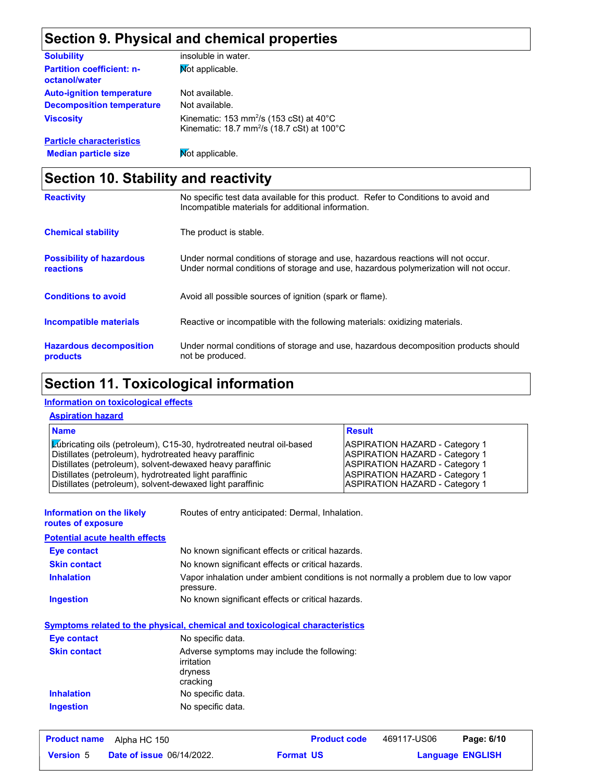## **Section 9. Physical and chemical properties**

| <b>Solubility</b>                                 | insoluble in water.                                                                                                     |
|---------------------------------------------------|-------------------------------------------------------------------------------------------------------------------------|
| <b>Partition coefficient: n-</b><br>octanol/water | Mot applicable.                                                                                                         |
| <b>Auto-ignition temperature</b>                  | Not available.                                                                                                          |
| <b>Decomposition temperature</b>                  | Not available.                                                                                                          |
| <b>Viscosity</b>                                  | Kinematic: 153 mm <sup>2</sup> /s (153 cSt) at $40^{\circ}$ C<br>Kinematic: 18.7 mm <sup>2</sup> /s (18.7 cSt) at 100°C |
| <b>Particle characteristics</b>                   |                                                                                                                         |
| <b>Median particle size</b>                       | Not applicable.                                                                                                         |

## **Section 10. Stability and reactivity**

| <b>Reactivity</b>                                   | No specific test data available for this product. Refer to Conditions to avoid and<br>Incompatible materials for additional information.                                |
|-----------------------------------------------------|-------------------------------------------------------------------------------------------------------------------------------------------------------------------------|
| <b>Chemical stability</b>                           | The product is stable.                                                                                                                                                  |
| <b>Possibility of hazardous</b><br><b>reactions</b> | Under normal conditions of storage and use, hazardous reactions will not occur.<br>Under normal conditions of storage and use, hazardous polymerization will not occur. |
| <b>Conditions to avoid</b>                          | Avoid all possible sources of ignition (spark or flame).                                                                                                                |
| <b>Incompatible materials</b>                       | Reactive or incompatible with the following materials: oxidizing materials.                                                                                             |
| <b>Hazardous decomposition</b><br>products          | Under normal conditions of storage and use, hazardous decomposition products should<br>not be produced.                                                                 |

## **Section 11. Toxicological information**

#### **Information on toxicological effects**

#### **Aspiration hazard**

| <b>Name</b>                                                                                                         | <b>Result</b>                                                                  |
|---------------------------------------------------------------------------------------------------------------------|--------------------------------------------------------------------------------|
| <b>Zubricating oils (petroleum), C15-30, hydrotreated neutral oil-based</b>                                         | <b>ASPIRATION HAZARD - Category 1</b>                                          |
| Distillates (petroleum), hydrotreated heavy paraffinic<br>Distillates (petroleum), solvent-dewaxed heavy paraffinic | <b>ASPIRATION HAZARD - Category 1</b><br><b>ASPIRATION HAZARD - Category 1</b> |
| Distillates (petroleum), hydrotreated light paraffinic                                                              | <b>ASPIRATION HAZARD - Category 1</b>                                          |
| Distillates (petroleum), solvent-dewaxed light paraffinic                                                           | <b>ASPIRATION HAZARD - Category 1</b>                                          |

| <b>Information on the likely</b><br>routes of exposure | Routes of entry anticipated: Dermal, Inhalation.                                                  |  |  |  |  |
|--------------------------------------------------------|---------------------------------------------------------------------------------------------------|--|--|--|--|
| <b>Potential acute health effects</b>                  |                                                                                                   |  |  |  |  |
| <b>Eye contact</b>                                     | No known significant effects or critical hazards.                                                 |  |  |  |  |
| <b>Skin contact</b>                                    | No known significant effects or critical hazards.                                                 |  |  |  |  |
| <b>Inhalation</b>                                      | Vapor inhalation under ambient conditions is not normally a problem due to low vapor<br>pressure. |  |  |  |  |
| <b>Ingestion</b>                                       | No known significant effects or critical hazards.                                                 |  |  |  |  |
|                                                        | <u>Symptoms related to the physical, chemical and toxicological characteristics</u>               |  |  |  |  |
| Eye contact                                            | No specific data.                                                                                 |  |  |  |  |
| <b>Skin contact</b>                                    | Adverse symptoms may include the following:<br>irritation<br>dryness<br>cracking                  |  |  |  |  |
| <b>Inhalation</b>                                      | No specific data.                                                                                 |  |  |  |  |
| Ingestion                                              | No specific data.                                                                                 |  |  |  |  |
| <b>Product name</b><br>Alpha HC 150                    | <b>Product code</b><br>469117-US06<br>Page: 6/10                                                  |  |  |  |  |

**Date of issue** 06/14/2022. **Version** 5 **Format Language Language ENGLISH Format US**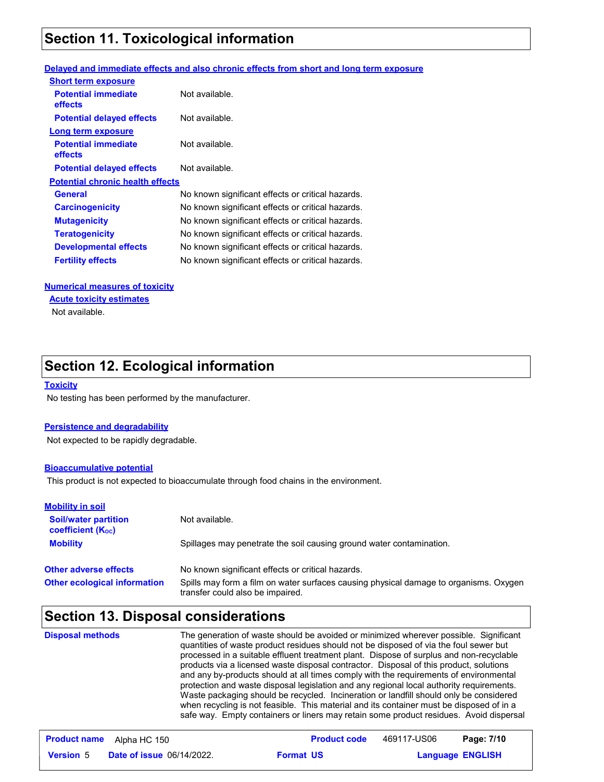## **Section 11. Toxicological information**

#### **Delayed and immediate effects and also chronic effects from short and long term exposure**

| <b>Short term exposure</b>                   |                                                   |
|----------------------------------------------|---------------------------------------------------|
| <b>Potential immediate</b><br>effects        | Not available.                                    |
| <b>Potential delayed effects</b>             | Not available.                                    |
| Long term exposure                           |                                                   |
| <b>Potential immediate</b><br><b>effects</b> | Not available.                                    |
| <b>Potential delayed effects</b>             | Not available.                                    |
| <b>Potential chronic health effects</b>      |                                                   |
| General                                      | No known significant effects or critical hazards. |
| <b>Carcinogenicity</b>                       | No known significant effects or critical hazards. |
| <b>Mutagenicity</b>                          | No known significant effects or critical hazards. |
| <b>Teratogenicity</b>                        | No known significant effects or critical hazards. |
| <b>Developmental effects</b>                 | No known significant effects or critical hazards. |
| <b>Fertility effects</b>                     | No known significant effects or critical hazards. |
|                                              |                                                   |

#### **Numerical measures of toxicity**

**Acute toxicity estimates**

Not available.

## **Section 12. Ecological information**

#### **Toxicity**

No testing has been performed by the manufacturer.

#### **Persistence and degradability**

Not expected to be rapidly degradable.

#### **Bioaccumulative potential**

This product is not expected to bioaccumulate through food chains in the environment.

| <b>Mobility in soil</b>                                 |                                                                                                                           |
|---------------------------------------------------------|---------------------------------------------------------------------------------------------------------------------------|
| <b>Soil/water partition</b><br><b>coefficient (Koc)</b> | Not available.                                                                                                            |
| <b>Mobility</b>                                         | Spillages may penetrate the soil causing ground water contamination.                                                      |
| <b>Other adverse effects</b>                            | No known significant effects or critical hazards.                                                                         |
| <b>Other ecological information</b>                     | Spills may form a film on water surfaces causing physical damage to organisms. Oxygen<br>transfer could also be impaired. |

## **Section 13. Disposal considerations**

| <b>Disposal methods</b> | The generation of waste should be avoided or minimized wherever possible. Significant<br>quantities of waste product residues should not be disposed of via the foul sewer but<br>processed in a suitable effluent treatment plant. Dispose of surplus and non-recyclable<br>products via a licensed waste disposal contractor. Disposal of this product, solutions<br>and any by-products should at all times comply with the requirements of environmental<br>protection and waste disposal legislation and any regional local authority requirements.<br>Waste packaging should be recycled. Incineration or landfill should only be considered<br>when recycling is not feasible. This material and its container must be disposed of in a |
|-------------------------|------------------------------------------------------------------------------------------------------------------------------------------------------------------------------------------------------------------------------------------------------------------------------------------------------------------------------------------------------------------------------------------------------------------------------------------------------------------------------------------------------------------------------------------------------------------------------------------------------------------------------------------------------------------------------------------------------------------------------------------------|
|                         | safe way. Empty containers or liners may retain some product residues. Avoid dispersal                                                                                                                                                                                                                                                                                                                                                                                                                                                                                                                                                                                                                                                         |

|                  | <b>Product name</b> Alpha HC 150 | <b>Product code</b> | 469117-US06 | Page: 7/10              |
|------------------|----------------------------------|---------------------|-------------|-------------------------|
| <b>Version 5</b> | <b>Date of issue 06/14/2022.</b> | <b>Format US</b>    |             | <b>Language ENGLISH</b> |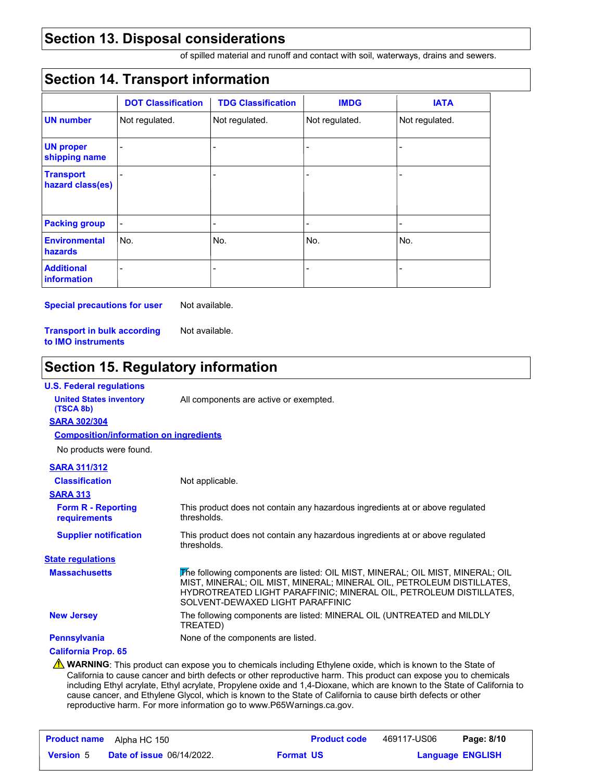#### **Section 13. Disposal considerations**

of spilled material and runoff and contact with soil, waterways, drains and sewers.

#### **Section 14. Transport information**

|                                         | <b>DOT Classification</b> | <b>TDG Classification</b> | <b>IMDG</b>              | <b>IATA</b>    |
|-----------------------------------------|---------------------------|---------------------------|--------------------------|----------------|
| <b>UN number</b>                        | Not regulated.            | Not regulated.            | Not regulated.           | Not regulated. |
| <b>UN proper</b><br>shipping name       |                           |                           |                          |                |
| <b>Transport</b><br>hazard class(es)    |                           |                           |                          |                |
| <b>Packing group</b>                    |                           | $\overline{a}$            | $\overline{\phantom{0}}$ | ۰              |
| <b>Environmental</b><br>hazards         | No.                       | No.                       | No.                      | No.            |
| <b>Additional</b><br><b>information</b> |                           |                           | $\overline{a}$           |                |

**Special precautions for user** Not available.

**Transport in bulk according to IMO instruments** Not available.

## **Section 15. Regulatory information**

| <b>U.S. Federal regulations</b>               |                                                                                                                                                                                                                                                                   |
|-----------------------------------------------|-------------------------------------------------------------------------------------------------------------------------------------------------------------------------------------------------------------------------------------------------------------------|
| <b>United States inventory</b><br>(TSCA 8b)   | All components are active or exempted.                                                                                                                                                                                                                            |
| <b>SARA 302/304</b>                           |                                                                                                                                                                                                                                                                   |
| <b>Composition/information on ingredients</b> |                                                                                                                                                                                                                                                                   |
| No products were found.                       |                                                                                                                                                                                                                                                                   |
| <b>SARA 311/312</b>                           |                                                                                                                                                                                                                                                                   |
| <b>Classification</b>                         | Not applicable.                                                                                                                                                                                                                                                   |
| <b>SARA 313</b>                               |                                                                                                                                                                                                                                                                   |
| <b>Form R - Reporting</b><br>requirements     | This product does not contain any hazardous ingredients at or above regulated<br>thresholds.                                                                                                                                                                      |
| <b>Supplier notification</b>                  | This product does not contain any hazardous ingredients at or above regulated<br>thresholds.                                                                                                                                                                      |
| <b>State regulations</b>                      |                                                                                                                                                                                                                                                                   |
| <b>Massachusetts</b>                          | The following components are listed: OIL MIST, MINERAL; OIL MIST, MINERAL; OIL<br>MIST, MINERAL; OIL MIST, MINERAL; MINERAL OIL, PETROLEUM DISTILLATES,<br>HYDROTREATED LIGHT PARAFFINIC; MINERAL OIL, PETROLEUM DISTILLATES,<br>SOLVENT-DEWAXED LIGHT PARAFFINIC |
| <b>New Jersey</b>                             | The following components are listed: MINERAL OIL (UNTREATED and MILDLY<br>TREATED)                                                                                                                                                                                |
| <b>Pennsylvania</b>                           | None of the components are listed.                                                                                                                                                                                                                                |
| <b>California Prop. 65</b>                    |                                                                                                                                                                                                                                                                   |
|                                               | <b>A WARNING</b> : This product can expose you to chemicals including Ethylene oxide, which is known to the State of<br>California to cause cancer and birth defects or other reproductive harm. This product can expose you to chemicals                         |

California to cause cancer and birth defects or other reproductive harm. This product can expose you to chemicals including Ethyl acrylate, Ethyl acrylate, Propylene oxide and 1,4-Dioxane, which are known to the State of California to cause cancer, and Ethylene Glycol, which is known to the State of California to cause birth defects or other reproductive harm. For more information go to www.P65Warnings.ca.gov.

| <b>Product name</b> | Alpha HC 150                     |                  | <b>Product code</b> | 469117-US06             | Page: 8/10 |
|---------------------|----------------------------------|------------------|---------------------|-------------------------|------------|
| <b>Version</b> 5    | <b>Date of issue 06/14/2022.</b> | <b>Format US</b> |                     | <b>Language ENGLISH</b> |            |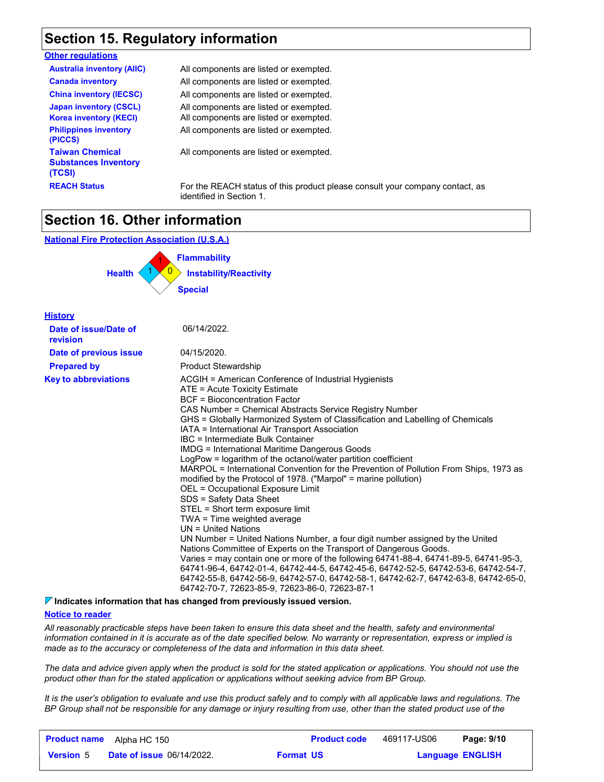### **Section 15. Regulatory information**

#### **Other regulations**

| <b>Australia inventory (AIIC)</b>                               | All components are listed or exempted.      |
|-----------------------------------------------------------------|---------------------------------------------|
| <b>Canada inventory</b>                                         | All components are listed or exempted.      |
| <b>China inventory (IECSC)</b>                                  | All components are listed or exempted.      |
| <b>Japan inventory (CSCL)</b>                                   | All components are listed or exempted.      |
| <b>Korea inventory (KECI)</b>                                   | All components are listed or exempted.      |
| <b>Philippines inventory</b><br>(PICCS)                         | All components are listed or exempted.      |
| <b>Taiwan Chemical</b><br><b>Substances Inventory</b><br>(TCSI) | All components are listed or exempted.      |
| <b>REACH Status</b>                                             | For the REACH status of this product please |

**PEACH Status For the Reach status is please consult your company contact, as** identified in Section 1.

### **Section 16. Other information**

**National Fire Protection Association (U.S.A.)**



| <b>History</b>                    |                                                                                                                                                                                                                                                                                                                                                                                                                                                                                                                                                                                                                                                                                                                                                                                                                                                                                                                                                                                                                                                                                                                                                                                                                                                                                                  |
|-----------------------------------|--------------------------------------------------------------------------------------------------------------------------------------------------------------------------------------------------------------------------------------------------------------------------------------------------------------------------------------------------------------------------------------------------------------------------------------------------------------------------------------------------------------------------------------------------------------------------------------------------------------------------------------------------------------------------------------------------------------------------------------------------------------------------------------------------------------------------------------------------------------------------------------------------------------------------------------------------------------------------------------------------------------------------------------------------------------------------------------------------------------------------------------------------------------------------------------------------------------------------------------------------------------------------------------------------|
| Date of issue/Date of<br>revision | 06/14/2022.                                                                                                                                                                                                                                                                                                                                                                                                                                                                                                                                                                                                                                                                                                                                                                                                                                                                                                                                                                                                                                                                                                                                                                                                                                                                                      |
| Date of previous issue            | 04/15/2020.                                                                                                                                                                                                                                                                                                                                                                                                                                                                                                                                                                                                                                                                                                                                                                                                                                                                                                                                                                                                                                                                                                                                                                                                                                                                                      |
| <b>Prepared by</b>                | <b>Product Stewardship</b>                                                                                                                                                                                                                                                                                                                                                                                                                                                                                                                                                                                                                                                                                                                                                                                                                                                                                                                                                                                                                                                                                                                                                                                                                                                                       |
| <b>Key to abbreviations</b>       | ACGIH = American Conference of Industrial Hygienists<br>ATE = Acute Toxicity Estimate<br><b>BCF</b> = Bioconcentration Factor<br>CAS Number = Chemical Abstracts Service Registry Number<br>GHS = Globally Harmonized System of Classification and Labelling of Chemicals<br>IATA = International Air Transport Association<br>IBC = Intermediate Bulk Container<br><b>IMDG = International Maritime Dangerous Goods</b><br>LogPow = logarithm of the octanol/water partition coefficient<br>MARPOL = International Convention for the Prevention of Pollution From Ships, 1973 as<br>modified by the Protocol of 1978. ("Marpol" = marine pollution)<br>OEL = Occupational Exposure Limit<br>SDS = Safety Data Sheet<br>STEL = Short term exposure limit<br>TWA = Time weighted average<br>$UN = United Nations$<br>UN Number = United Nations Number, a four digit number assigned by the United<br>Nations Committee of Experts on the Transport of Dangerous Goods.<br>Varies = may contain one or more of the following 64741-88-4, 64741-89-5, 64741-95-3,<br>64741-96-4, 64742-01-4, 64742-44-5, 64742-45-6, 64742-52-5, 64742-53-6, 64742-54-7,<br>64742-55-8, 64742-56-9, 64742-57-0, 64742-58-1, 64742-62-7, 64742-63-8, 64742-65-0,<br>64742-70-7, 72623-85-9, 72623-86-0, 72623-87-1 |

**Indicates information that has changed from previously issued version.**

#### **Notice to reader**

*All reasonably practicable steps have been taken to ensure this data sheet and the health, safety and environmental information contained in it is accurate as of the date specified below. No warranty or representation, express or implied is made as to the accuracy or completeness of the data and information in this data sheet.*

*The data and advice given apply when the product is sold for the stated application or applications. You should not use the product other than for the stated application or applications without seeking advice from BP Group.*

*It is the user's obligation to evaluate and use this product safely and to comply with all applicable laws and regulations. The BP Group shall not be responsible for any damage or injury resulting from use, other than the stated product use of the* 

| <b>Product name</b> | Alpha HC 150                     |                  | <b>Product code</b> | 469117-US06             | Page: 9/10 |
|---------------------|----------------------------------|------------------|---------------------|-------------------------|------------|
| <b>Version</b> 5    | <b>Date of issue 06/14/2022.</b> | <b>Format US</b> |                     | <b>Language ENGLISH</b> |            |